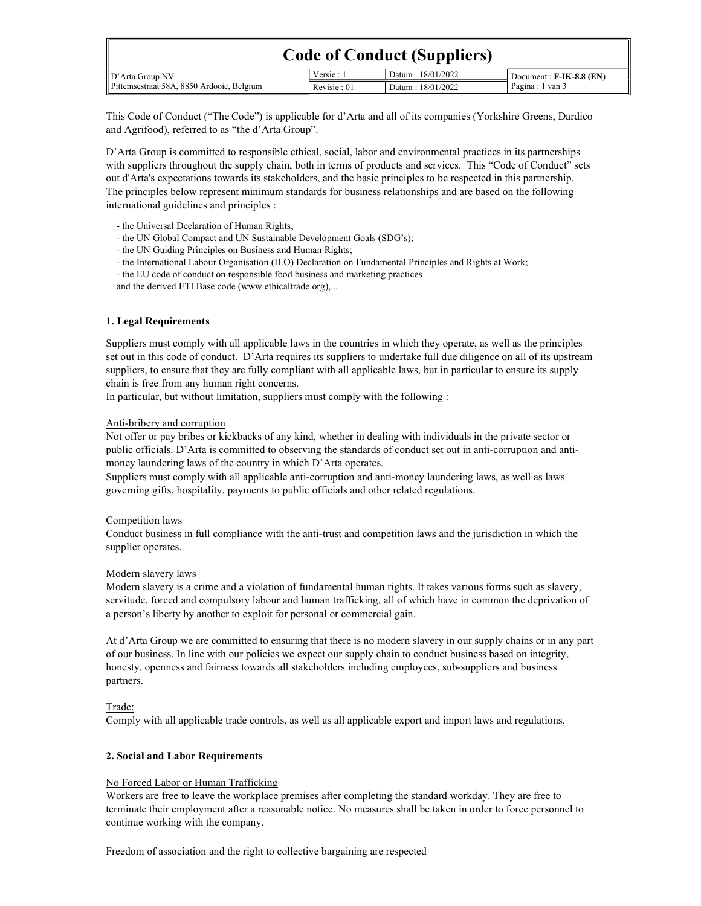| <b>Code of Conduct (Suppliers)</b>        |             |                   |                             |  |  |
|-------------------------------------------|-------------|-------------------|-----------------------------|--|--|
| D'Arta Group NV                           | Versie: 1   | Datum: 18/01/2022 | Document: $F-IK-8.8$ $(EN)$ |  |  |
| Pittemsestraat 58A, 8850 Ardooie, Belgium | Revisie: 01 | Datum: 18/01/2022 | Pagina : 1 van 3            |  |  |

This Code of Conduct ("The Code") is applicable for d'Arta and all of its companies (Yorkshire Greens, Dardico and Agrifood), referred to as "the d'Arta Group".

D'Arta Group is committed to responsible ethical, social, labor and environmental practices in its partnerships with suppliers throughout the supply chain, both in terms of products and services. This "Code of Conduct" sets out d'Arta's expectations towards its stakeholders, and the basic principles to be respected in this partnership. The principles below represent minimum standards for business relationships and are based on the following international guidelines and principles :

- the Universal Declaration of Human Rights;

- the UN Global Compact and UN Sustainable Development Goals (SDG's);
- the UN Guiding Principles on Business and Human Rights;
- the International Labour Organisation (ILO) Declaration on Fundamental Principles and Rights at Work;
- the EU code of conduct on responsible food business and marketing practices

and the derived ETI Base code (www.ethicaltrade.org),...

### 1. Legal Requirements

Suppliers must comply with all applicable laws in the countries in which they operate, as well as the principles set out in this code of conduct. D'Arta requires its suppliers to undertake full due diligence on all of its upstream suppliers, to ensure that they are fully compliant with all applicable laws, but in particular to ensure its supply chain is free from any human right concerns.

In particular, but without limitation, suppliers must comply with the following :

#### Anti-bribery and corruption

Not offer or pay bribes or kickbacks of any kind, whether in dealing with individuals in the private sector or public officials. D'Arta is committed to observing the standards of conduct set out in anti-corruption and antimoney laundering laws of the country in which D'Arta operates.

Suppliers must comply with all applicable anti-corruption and anti-money laundering laws, as well as laws governing gifts, hospitality, payments to public officials and other related regulations.

#### Competition laws

Conduct business in full compliance with the anti-trust and competition laws and the jurisdiction in which the supplier operates.

### Modern slavery laws

Modern slavery is a crime and a violation of fundamental human rights. It takes various forms such as slavery, servitude, forced and compulsory labour and human trafficking, all of which have in common the deprivation of a person's liberty by another to exploit for personal or commercial gain.

At d'Arta Group we are committed to ensuring that there is no modern slavery in our supply chains or in any part of our business. In line with our policies we expect our supply chain to conduct business based on integrity, honesty, openness and fairness towards all stakeholders including employees, sub-suppliers and business partners.

### Trade:

Comply with all applicable trade controls, as well as all applicable export and import laws and regulations.

### 2. Social and Labor Requirements

### No Forced Labor or Human Trafficking

Workers are free to leave the workplace premises after completing the standard workday. They are free to terminate their employment after a reasonable notice. No measures shall be taken in order to force personnel to continue working with the company.

### Freedom of association and the right to collective bargaining are respected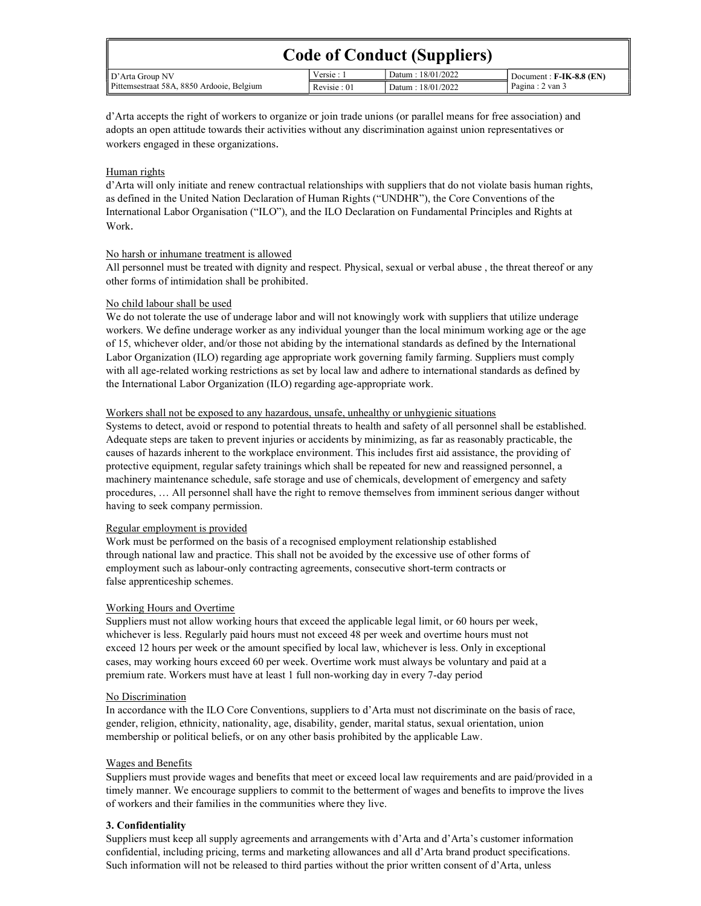| <b>Code of Conduct (Suppliers)</b>        |             |                   |                                    |  |  |
|-------------------------------------------|-------------|-------------------|------------------------------------|--|--|
| $\parallel$ D'Arta Group NV               | Versie : 1  | Datum: 18/01/2022 | $\sqrt{}$ Document : F-IK-8.8 (EN) |  |  |
| Pittemsestraat 58A, 8850 Ardooie, Belgium | Revisie: 01 | Datum: 18/01/2022 | Pagina : 2 van 3                   |  |  |

d'Arta accepts the right of workers to organize or join trade unions (or parallel means for free association) and adopts an open attitude towards their activities without any discrimination against union representatives or workers engaged in these organizations.

# Human rights

d'Arta will only initiate and renew contractual relationships with suppliers that do not violate basis human rights, as defined in the United Nation Declaration of Human Rights ("UNDHR"), the Core Conventions of the International Labor Organisation ("ILO"), and the ILO Declaration on Fundamental Principles and Rights at Work.

## No harsh or inhumane treatment is allowed

All personnel must be treated with dignity and respect. Physical, sexual or verbal abuse , the threat thereof or any other forms of intimidation shall be prohibited.

## No child labour shall be used

We do not tolerate the use of underage labor and will not knowingly work with suppliers that utilize underage workers. We define underage worker as any individual younger than the local minimum working age or the age of 15, whichever older, and/or those not abiding by the international standards as defined by the International Labor Organization (ILO) regarding age appropriate work governing family farming. Suppliers must comply with all age-related working restrictions as set by local law and adhere to international standards as defined by the International Labor Organization (ILO) regarding age-appropriate work.

### Workers shall not be exposed to any hazardous, unsafe, unhealthy or unhygienic situations

Systems to detect, avoid or respond to potential threats to health and safety of all personnel shall be established. Adequate steps are taken to prevent injuries or accidents by minimizing, as far as reasonably practicable, the causes of hazards inherent to the workplace environment. This includes first aid assistance, the providing of protective equipment, regular safety trainings which shall be repeated for new and reassigned personnel, a machinery maintenance schedule, safe storage and use of chemicals, development of emergency and safety procedures, … All personnel shall have the right to remove themselves from imminent serious danger without having to seek company permission.

# Regular employment is provided

Work must be performed on the basis of a recognised employment relationship established through national law and practice. This shall not be avoided by the excessive use of other forms of employment such as labour-only contracting agreements, consecutive short-term contracts or false apprenticeship schemes.

### Working Hours and Overtime

Suppliers must not allow working hours that exceed the applicable legal limit, or 60 hours per week, whichever is less. Regularly paid hours must not exceed 48 per week and overtime hours must not exceed 12 hours per week or the amount specified by local law, whichever is less. Only in exceptional cases, may working hours exceed 60 per week. Overtime work must always be voluntary and paid at a premium rate. Workers must have at least 1 full non-working day in every 7-day period

### No Discrimination

In accordance with the ILO Core Conventions, suppliers to d'Arta must not discriminate on the basis of race, gender, religion, ethnicity, nationality, age, disability, gender, marital status, sexual orientation, union membership or political beliefs, or on any other basis prohibited by the applicable Law.

### Wages and Benefits

Suppliers must provide wages and benefits that meet or exceed local law requirements and are paid/provided in a timely manner. We encourage suppliers to commit to the betterment of wages and benefits to improve the lives of workers and their families in the communities where they live.

### 3. Confidentiality

Suppliers must keep all supply agreements and arrangements with d'Arta and d'Arta's customer information confidential, including pricing, terms and marketing allowances and all d'Arta brand product specifications. Such information will not be released to third parties without the prior written consent of d'Arta, unless